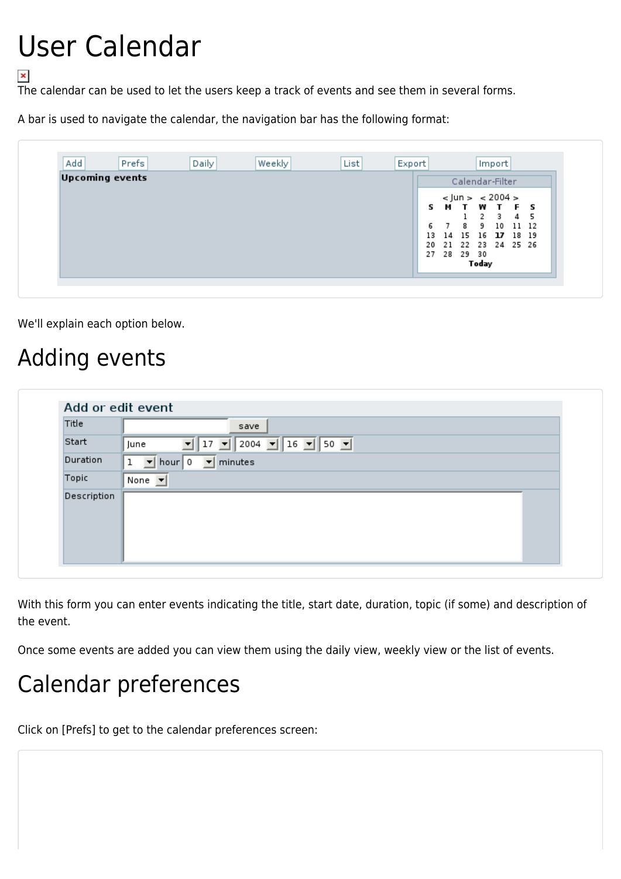# User Calendar

The calendar can be used to let the users keep a track of events and see them in several forms.

A bar is used to navigate the calendar, the navigation bar has the following format:

| Add                    | Prefs | Daily | Weekly | List            | Export |     |       |       |                      | Import |  |     |
|------------------------|-------|-------|--------|-----------------|--------|-----|-------|-------|----------------------|--------|--|-----|
| <b>Upcoming events</b> |       |       |        | Calendar-Filter |        |     |       |       |                      |        |  |     |
|                        |       |       |        |                 |        |     |       |       | $<$ Jun > $<$ 2004 > |        |  |     |
|                        |       |       |        |                 |        |     |       |       | <b>SMTWTFS</b>       |        |  |     |
|                        |       |       |        |                 |        |     |       |       | 2                    | 3      |  | 4 5 |
|                        |       |       |        |                 |        | 6   |       | 8.    | 9 10 11 12           |        |  |     |
|                        |       |       |        |                 |        | 13. |       |       | 14 15 16 17 18 19    |        |  |     |
|                        |       |       |        |                 |        | 20  |       |       | 21 22 23 24 25 26    |        |  |     |
|                        |       |       |        |                 |        | 27  | 28    | 29 30 |                      |        |  |     |
|                        |       |       |        |                 |        |     | Today |       |                      |        |  |     |

We'll explain each option below.

#### Adding events

| Title       | save                                                                                    |
|-------------|-----------------------------------------------------------------------------------------|
| Start       | $2004$ $\boxed{\bullet}$ 16 $\boxed{\bullet}$ 50 $\boxed{\bullet}$<br> 17 <br>▾<br>June |
| Duration    | $\mathbf{r}$<br>hour $\vert 0 \vert$<br>minutes<br>ı<br>$\vert \mathbf{v} \vert$        |
| Topic       | None $\blacktriangledown$                                                               |
| Description |                                                                                         |

With this form you can enter events indicating the title, start date, duration, topic (if some) and description of the event.

Once some events are added you can view them using the daily view, weekly view or the list of events.

### Calendar preferences

Click on [Prefs] to get to the calendar preferences screen: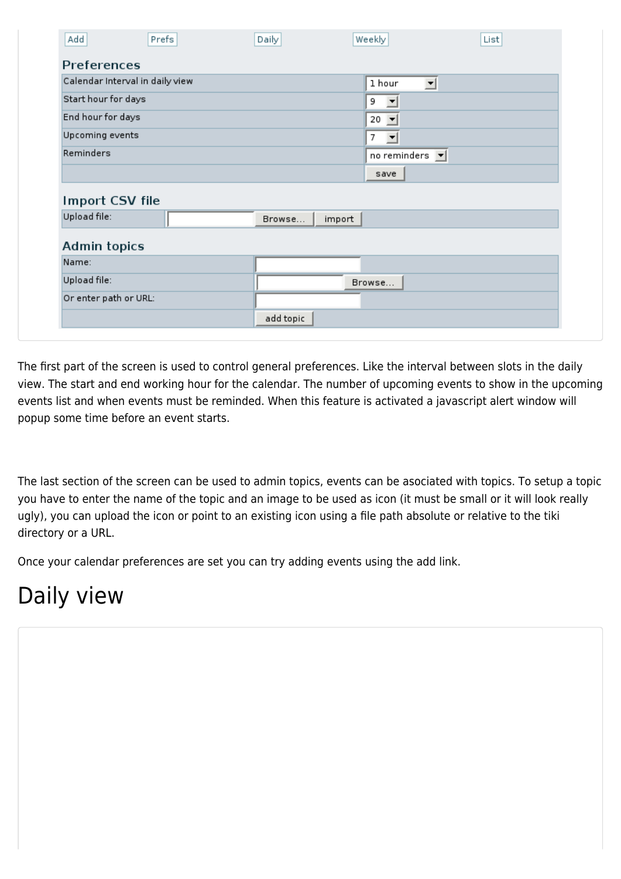| Preferences                                  |        |                                |  |
|----------------------------------------------|--------|--------------------------------|--|
| Calendar Interval in daily view              |        | 1 hour<br>킈                    |  |
| Start hour for days                          |        | 9<br>▼                         |  |
| End hour for days                            |        | $20$ $\rightarrow$             |  |
| Upcoming events                              |        | 7<br>$\overline{\phantom{a}}$  |  |
|                                              |        |                                |  |
|                                              |        | no reminders $\boxed{\bullet}$ |  |
| Reminders                                    |        | save                           |  |
|                                              |        |                                |  |
|                                              |        |                                |  |
| Import CSV file<br>Upload file:              | Browse | import                         |  |
|                                              |        |                                |  |
|                                              |        |                                |  |
|                                              |        |                                |  |
| <b>Admin topics</b><br>Name:<br>Upload file: |        | Browse                         |  |

The first part of the screen is used to control general preferences. Like the interval between slots in the daily view. The start and end working hour for the calendar. The number of upcoming events to show in the upcoming events list and when events must be reminded. When this feature is activated a javascript alert window will popup some time before an event starts.

The last section of the screen can be used to admin topics, events can be asociated with topics. To setup a topic you have to enter the name of the topic and an image to be used as icon (it must be small or it will look really ugly), you can upload the icon or point to an existing icon using a file path absolute or relative to the tiki directory or a URL.

Once your calendar preferences are set you can try adding events using the add link.

### Daily view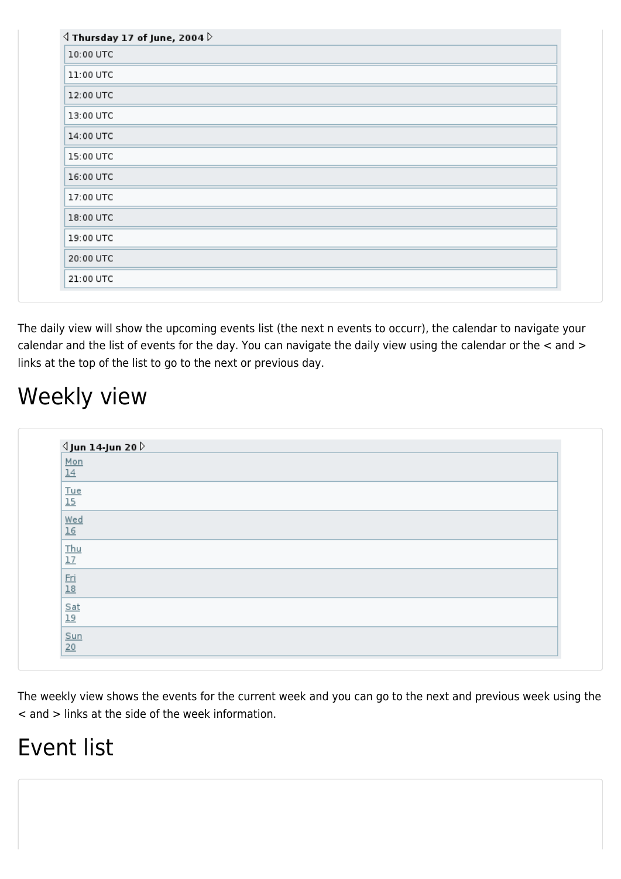| 10:00 UTC |  |
|-----------|--|
| 11:00 UTC |  |
| 12:00 UTC |  |
| 13:00 UTC |  |
| 14:00 UTC |  |
| 15:00 UTC |  |
| 16:00 UTC |  |
| 17:00 UTC |  |
| 18:00 UTC |  |
| 19:00 UTC |  |
| 20:00 UTC |  |
| 21:00 UTC |  |

The daily view will show the upcoming events list (the next n events to occurr), the calendar to navigate your calendar and the list of events for the day. You can navigate the daily view using the calendar or the < and > links at the top of the list to go to the next or previous day.

#### Weekly view

| $\Delta$ Jun 14-Jun 20 $\triangleright$ |  |
|-----------------------------------------|--|
| Mon                                     |  |
| 14                                      |  |
| $\frac{True}{15}$                       |  |
|                                         |  |
| $\underline{\frac{\text{Wed}}{16}}$     |  |
|                                         |  |
|                                         |  |
| $\frac{Thu}{17}$                        |  |
|                                         |  |
| $\frac{Fri}{18}$                        |  |
| $Sat$                                   |  |
| 19                                      |  |
|                                         |  |
| $rac{\text{Sun}}{20}$                   |  |

The weekly view shows the events for the current week and you can go to the next and previous week using the < and > links at the side of the week information.

### Event list